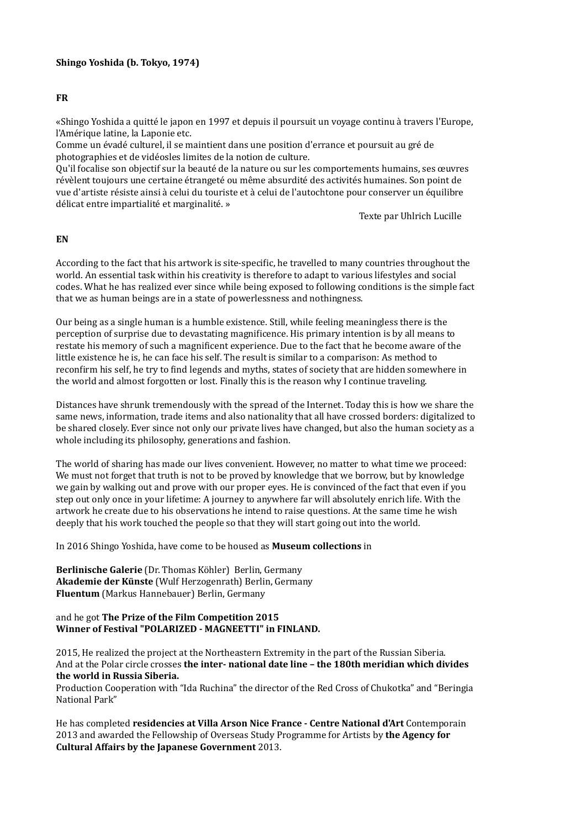## **FR**

«Shingo Yoshida a quitté le japon en 1997 et depuis il poursuit un voyage continu à travers l'Europe, l'Amérique latine, la Laponie etc.

Comme un évadé culturel, il se maintient dans une position d'errance et poursuit au gré de photographies et de vidéosles limites de la notion de culture.

Qu'il focalise son objectif sur la beauté de la nature ou sur les comportements humains, ses œuvres révèlent toujours une certaine étrangeté ou même absurdité des activités humaines. Son point de vue d'artiste résiste ainsi à celui du touriste et à celui de l'autochtone pour conserver un équilibre délicat entre impartialité et marginalité. »

Texte par Uhlrich Lucille

## **EN**

According to the fact that his artwork is site-specific, he travelled to many countries throughout the world. An essential task within his creativity is therefore to adapt to various lifestyles and social codes. What he has realized ever since while being exposed to following conditions is the simple fact that we as human beings are in a state of powerlessness and nothingness.

Our being as a single human is a humble existence. Still, while feeling meaningless there is the perception of surprise due to devastating magnificence. His primary intention is by all means to restate his memory of such a magnificent experience. Due to the fact that he become aware of the little existence he is, he can face his self. The result is similar to a comparison: As method to reconfirm his self, he try to find legends and myths, states of society that are hidden somewhere in the world and almost forgotten or lost. Finally this is the reason why I continue traveling.

Distances have shrunk tremendously with the spread of the Internet. Today this is how we share the same news, information, trade items and also nationality that all have crossed borders: digitalized to be shared closely. Ever since not only our private lives have changed, but also the human society as a whole including its philosophy, generations and fashion.

The world of sharing has made our lives convenient. However, no matter to what time we proceed: We must not forget that truth is not to be proved by knowledge that we borrow, but by knowledge we gain by walking out and prove with our proper eyes. He is convinced of the fact that even if you step out only once in your lifetime: A journey to anywhere far will absolutely enrich life. With the artwork he create due to his observations he intend to raise questions. At the same time he wish deeply that his work touched the people so that they will start going out into the world.

In 2016 Shingo Yoshida, have come to be housed as **Museum collections** in

**Berlinische Galerie** (Dr. Thomas Köhler) Berlin, Germany **Akademie der Künste** (Wulf Herzogenrath) Berlin, Germany **Fluentum** (Markus Hannebauer) Berlin, Germany

### and he got The Prize of the Film Competition 2015 Winner of Festival "POLARIZED - MAGNEETTI" in FINLAND.

2015, He realized the project at the Northeastern Extremity in the part of the Russian Siberia. And at the Polar circle crosses **the inter- national date line - the 180th meridian which divides** the world in Russia Siberia.

Production Cooperation with "Ida Ruchina" the director of the Red Cross of Chukotka" and "Beringia National Park"

He has completed **residencies at Villa Arson Nice France - Centre National d'Art** Contemporain 2013 and awarded the Fellowship of Overseas Study Programme for Artists by the Agency for **Cultural Affairs by the Japanese Government 2013.**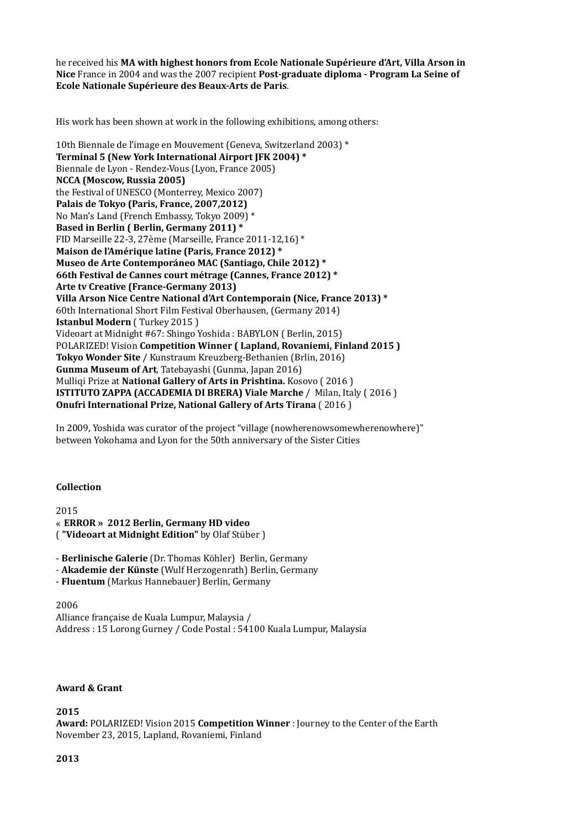he received his **MA with highest honors from Ecole Nationale Supérieure d'Art, Villa Arson in Nice** France in 2004 and was the 2007 recipient **Post-graduate diploma - Program La Seine of Ecole Nationale Supérieure des Beaux-Arts de Paris**. 

His work has been shown at work in the following exhibitions, among others:

10th Biennale de l'image en Mouvement (Geneva, Switzerland 2003)<sup>\*</sup> **Terminal 5 (New York International Airport JFK 2004)** \* Biennale de Lyon - Rendez-Vous (Lyon, France 2005) **NCCA** (Moscow, Russia 2005) the Festival of UNESCO (Monterrey, Mexico 2007) Palais de Tokyo (Paris, France, 2007,2012) No Man's Land (French Embassy, Tokyo 2009) \* Based in Berlin ( Berlin, Germany 2011)<sup>\*</sup> FID Marseille 22-3, 27ème (Marseille, France 2011-12,16)  $*$ **Maison de l'Amérique latine (Paris, France 2012)** \* Museo de Arte Contemporáneo MAC (Santiago, Chile 2012)<sup>\*</sup> 66th Festival de Cannes court métrage (Cannes, France 2012)<sup>\*</sup> **Arte tv Creative (France-Germany 2013) Villa Arson Nice Centre National d'Art Contemporain (Nice, France 2013)** \* 60th International Short Film Festival Oberhausen, (Germany 2014) **Istanbul Modern** (Turkey 2015) Videoart at Midnight #67: Shingo Yoshida : BABYLON ( Berlin, 2015) **POLARIZED! Vision Competition Winner ( Lapland, Rovaniemi, Finland 2015) Tokyo Wonder Site** / Kunstraum Kreuzberg-Bethanien (Brlin, 2016) **Gunma Museum of Art**, Tatebayashi (Gunma, Japan 2016) Mulligi Prize at National Gallery of Arts in Prishtina. Kosovo (2016) **ISTITUTO ZAPPA (ACCADEMIA DI BRERA) Viale Marche** / Milan, Italy (2016) **Onufri International Prize, National Gallery of Arts Tirana** (2016)

In 2009, Yoshida was curator of the project "village (nowherenowsomewherenowhere)" between Yokohama and Lyon for the 50th anniversary of the Sister Cities

#### **Collection**

2015 « **ERROR » 2012 Berlin, Germany HD video** ( **"Videoart at Midnight Edition"** by Olaf Stüber ) 

- Berlinische Galerie (Dr. Thomas Köhler) Berlin, Germany

- Akademie der Künste (Wulf Herzogenrath) Berlin, Germany
- Fluentum (Markus Hannebauer) Berlin, Germany

2006 Alliance française de Kuala Lumpur, Malaysia / Address : 15 Lorong Gurney / Code Postal : 54100 Kuala Lumpur, Malaysia

#### **Award & Grant**

**2015** 

Award: POLARIZED! Vision 2015 **Competition Winner** : Journey to the Center of the Earth November 23, 2015, Lapland, Rovaniemi, Finland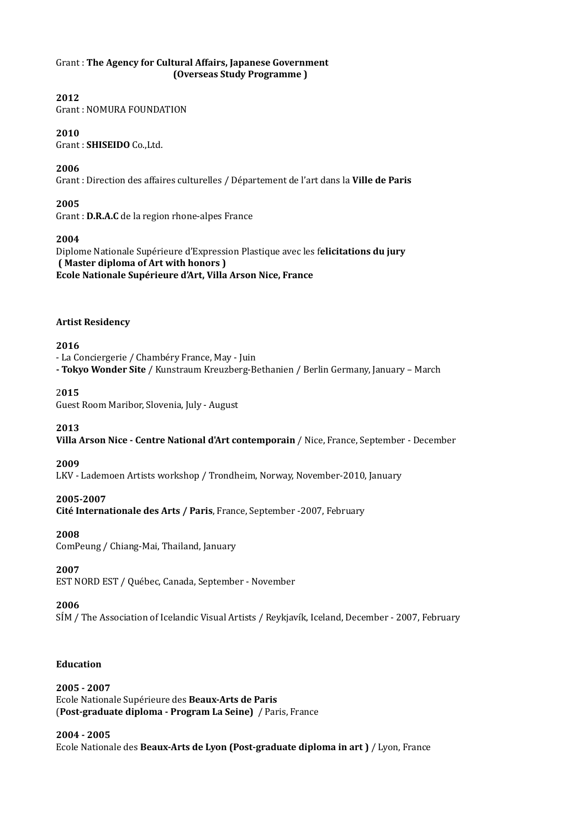### Grant : The Agency for Cultural Affairs, Japanese Government **(Overseas Study Programme)**

# **2012**

Grant : NOMURA FOUNDATION

## **2010**

Grant : **SHISEIDO** Co., Ltd.

## **2006**

Grant : Direction des affaires culturelles / Département de l'art dans la Ville de Paris

## **2005**

Grant : **D.R.A.C** de la region rhone-alpes France

## **2004**

Diplome Nationale Supérieure d'Expression Plastique avec les f**elicitations du jury (Master diploma of Art with honors )** Ecole Nationale Supérieure d'Art, Villa Arson Nice, France

## **Artist Residency**

# **2016**

- La Conciergerie / Chambéry France, May - Juin - Tokyo Wonder Site / Kunstraum Kreuzberg-Bethanien / Berlin Germany, January – March

# 2**015**

Guest Room Maribor, Slovenia, July - August

## **2013**

Villa Arson Nice - Centre National d'Art contemporain / Nice, France, September - December

## **2009**

LKV - Lademoen Artists workshop / Trondheim, Norway, November-2010, January

## **2005-2007**

**Cité Internationale des Arts / Paris**, France, September -2007, February

## **2008**

ComPeung / Chiang-Mai, Thailand, January

## **2007**

EST NORD EST / Québec, Canada, September - November

## **2006**

SÍM / The Association of Icelandic Visual Artists / Reykjavík, Iceland, December - 2007, February

## **Education**

# **2005 - 2007**

Ecole Nationale Supérieure des **Beaux-Arts de Paris (Post-graduate diploma - Program La Seine)** / Paris, France

## **2004 - 2005**

Ecole Nationale des Beaux-Arts de Lyon (Post-graduate diploma in art) / Lyon, France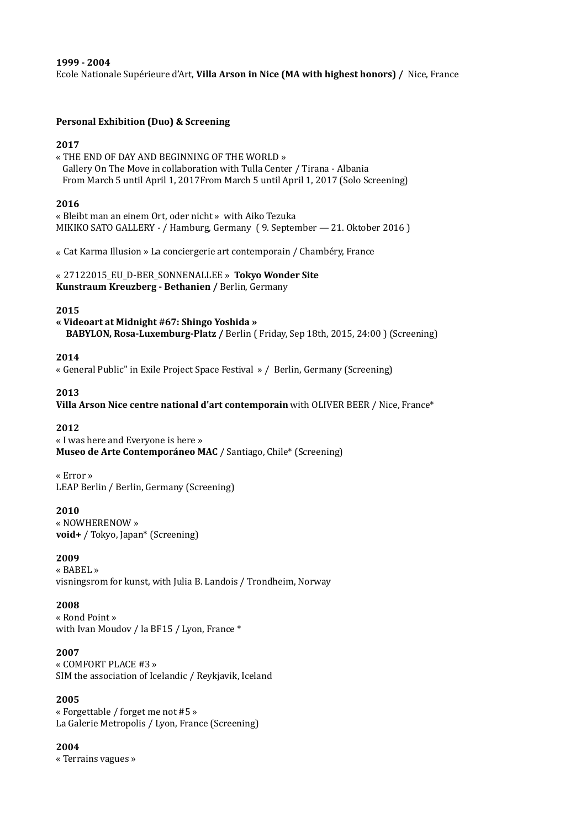#### **1999 - 2004**

Ecole Nationale Supérieure d'Art, **Villa Arson in Nice (MA with highest honors)** / Nice, France

### **Personal Exhibition (Duo) & Screening**

### **2017**

« THE END OF DAY AND BEGINNING OF THE WORLD » Gallery On The Move in collaboration with Tulla Center / Tirana - Albania From March 5 until April 1, 2017From March 5 until April 1, 2017 (Solo Screening)

#### **2016**

« Bleibt man an einem Ort, oder nicht » with Aiko Tezuka MIKIKO SATO GALLERY - / Hamburg, Germany (9. September - 21. Oktober 2016)

« Cat Karma Illusion » La conciergerie art contemporain / Chambéry, France

### « 27122015\_EU\_D-BER\_SONNENALLEE » Tokyo Wonder Site **Kunstraum Kreuzberg - Bethanien / Berlin, Germany**

### **2015**

**« Videoart at Midnight #67: Shingo Yoshida »** BABYLON, Rosa-Luxemburg-Platz / Berlin ( Friday, Sep 18th, 2015, 24:00 ) (Screening)

### **2014**

« General Public" in Exile Project Space Festival » / Berlin, Germany (Screening)

### **2013**

**Villa Arson Nice centre national d'art contemporain** with OLIVER BEER / Nice, France\*

#### **2012**

« I was here and Everyone is here » **Museo de Arte Contemporáneo MAC** / Santiago, Chile\* (Screening)

« Error » LEAP Berlin / Berlin, Germany (Screening)

#### **2010**

« NOWHERENOW » **void+** / Tokyo, Japan\* (Screening)

### **2009**

« BABEL » visningsrom for kunst, with Julia B. Landois / Trondheim, Norway

## **2008**

« Rond Point » with Ivan Moudov / la BF15 / Lyon, France \*

#### **2007**

« COMFORT PLACE #3 » SIM the association of Icelandic / Reykjavik, Iceland

## **2005**

« Forgettable / forget me not #5 » La Galerie Metropolis / Lyon, France (Screening)

#### **2004**

« Terrains vagues »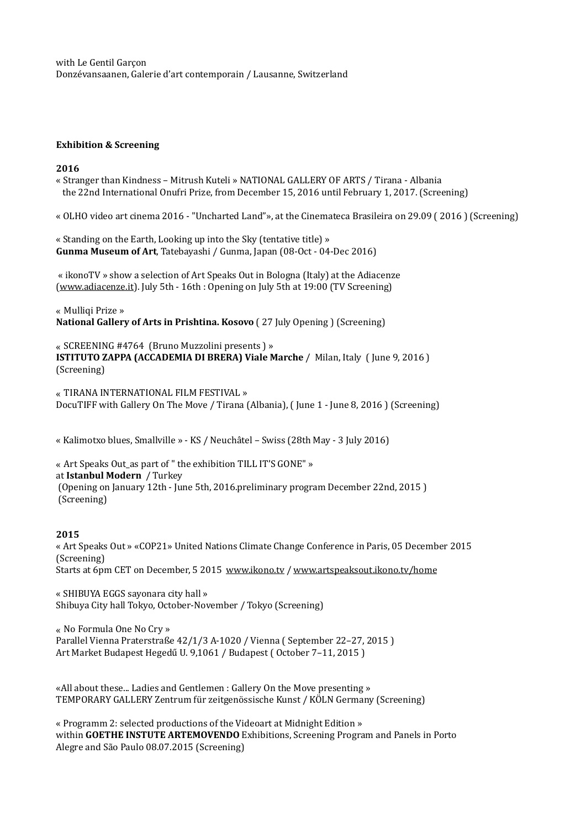with Le Gentil Garcon Donzévansaanen, Galerie d'art contemporain / Lausanne, Switzerland

#### **Exhibition & Screening**

#### **2016**

« Stranger than Kindness – Mitrush Kuteli » NATIONAL GALLERY OF ARTS / Tirana - Albania the 22nd International Onufri Prize, from December 15, 2016 until February 1, 2017. (Screening)

« OLHO video art cinema 2016 - "Uncharted Land"», at the Cinemateca Brasileira on 29.09 ( 2016 ) (Screening)

« Standing on the Earth, Looking up into the Sky (tentative title) » **Gunma Museum of Art, Tatebayashi / Gunma, Japan (08-Oct - 04-Dec 2016)** 

« ikonoTV » show a selection of Art Speaks Out in Bologna (Italy) at the Adiacenze [\(www.adiacenze.it\)](http://www.adiacenze.it). July 5th - 16th : Opening on July 5th at 19:00 (TV Screening)

« Mulligi Prize » **National Gallery of Arts in Prishtina. Kosovo** (27 July Opening) (Screening)

« SCREENING #4764 (Bruno Muzzolini presents ) »

**ISTITUTO ZAPPA (ACCADEMIA DI BRERA) Viale Marche** / Milan, Italy (June 9, 2016) (Screening) 

« TIRANA INTERNATIONAL FILM FESTIVAL » DocuTIFF with Gallery On The Move / Tirana (Albania), (Iune 1 - Iune 8, 2016) (Screening)

« Kalimotxo blues, Smallville » - KS / Neuchâtel – Swiss (28th May - 3 July 2016)

« Art Speaks Out as part of " the exhibition TILL IT'S GONE" » at **Istanbul Modern** / Turkey (Opening on January 12th - June 5th, 2016.preliminary program December 22nd, 2015) (Screening)

## **2015**

« Art Speaks Out » «COP21» United Nations Climate Change Conference in Paris, 05 December 2015 (Screening) Starts at 6pm CET on December, 5 2015 www.ikono.tv / www.artspeaksout.ikono.tv/home

« SHIBUYA EGGS sayonara city hall » Shibuya City hall Tokyo, October-November / Tokyo (Screening)

« No Formula One No Cry » Parallel Vienna Praterstraße 42/1/3 A-1020 / Vienna (September 22-27, 2015) Art Market Budapest Hegedű U. 9,1061 / Budapest (October 7-11, 2015)

«All about these... Ladies and Gentlemen : Gallery On the Move presenting » TEMPORARY GALLERY Zentrum für zeitgenössische Kunst / KÖLN Germany (Screening)

« Programm 2: selected productions of the Videoart at Midnight Edition » within **GOETHE INSTUTE ARTEMOVENDO** Exhibitions, Screening Program and Panels in Porto Alegre and São Paulo 08.07.2015 (Screening)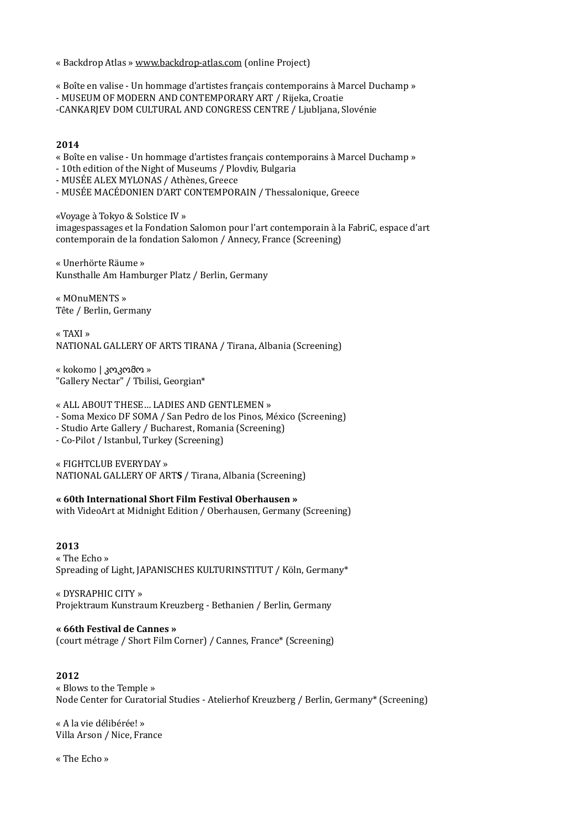« Backdrop Atlas » [www.backdrop-atlas.com](http://www.backdrop-atlas.com) (online Project)

« Boîte en valise - Un hommage d'artistes français contemporains à Marcel Duchamp »

- MUSEUM OF MODERN AND CONTEMPORARY ART / Rijeka, Croatie

-CANKARJEV DOM CULTURAL AND CONGRESS CENTRE / Ljubljana, Slovénie

## **2014**

« Boîte en valise - Un hommage d'artistes français contemporains à Marcel Duchamp »

- 10th edition of the Night of Museums / Plovdiv, Bulgaria
- MUSÉE ALEX MYLONAS / Athènes, Greece
- MUSÉE MACÉDONIEN D'ART CONTEMPORAIN / Thessalonique, Greece

«Voyage à Tokyo & Solstice IV » imagespassages et la Fondation Salomon pour l'art contemporain à la FabriC, espace d'art contemporain de la fondation Salomon / Annecy, France (Screening)

« Unerhörte Räume » Kunsthalle Am Hamburger Platz / Berlin, Germany

« MOnuMENTS » Tête / Berlin, Germany

« TAXI » NATIONAL GALLERY OF ARTS TIRANA / Tirana, Albania (Screening)

« kokomo | კოკომო » "Gallery Nectar" / Tbilisi, Georgian\*

« ALL ABOUT THESE... LADIES AND GENTLEMEN »

- Soma Mexico DF SOMA / San Pedro de los Pinos, México (Screening)
- Studio Arte Gallery / Bucharest, Romania (Screening)

- Co-Pilot / Istanbul, Turkey (Screening)

« FIGHTCLUB EVERYDAY » NATIONAL GALLERY OF ARTS / Tirana, Albania (Screening)

**« 60th International Short Film Festival Oberhausen »** 

with VideoArt at Midnight Edition / Oberhausen, Germany (Screening)

**2013** « The Echo » Spreading of Light, JAPANISCHES KULTURINSTITUT / Köln, Germany\*

« DYSRAPHIC CITY » Projektraum Kunstraum Kreuzberg - Bethanien / Berlin, Germany

#### **« 66th Festival de Cannes »**

(court métrage / Short Film Corner) / Cannes, France\* (Screening)

# **2012**

 $\kappa$  Blows to the Temple » Node Center for Curatorial Studies - Atelierhof Kreuzberg / Berlin, Germany\* (Screening)

« A la vie délibérée! » Villa Arson / Nice, France

« The Echo »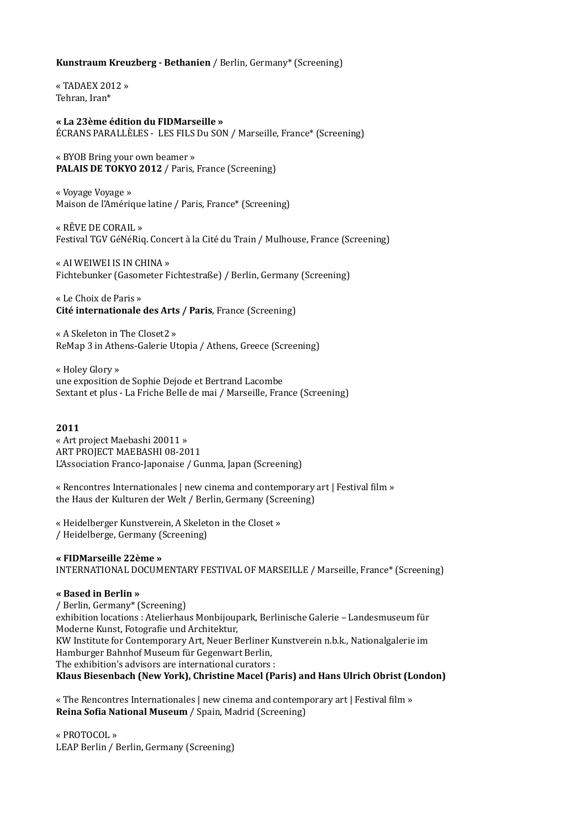### **Kunstraum Kreuzberg - Bethanien** / Berlin, Germany\* (Screening)

« TADAEX  $2012$  » Tehran, Iran\*

**« La 23ème édition du FIDMarseille »**  ÉCRANS PARALLÈLES - LES FILS Du SON / Marseille, France\* (Screening)

« BYOB Bring your own beamer » **PALAIS DE TOKYO 2012** / Paris, France (Screening)

« Voyage Voyage » Maison de l'Amérique latine / Paris, France\* (Screening)

« RÊVE DE CORAIL » Festival TGV GéNéRiq. Concert à la Cité du Train / Mulhouse, France (Screening)

« AI WEIWEI IS IN CHINA » Fichtebunker (Gasometer Fichtestraße) / Berlin, Germany (Screening)

« Le Choix de Paris » **Cité internationale des Arts / Paris**, France (Screening)

« A Skeleton in The Closet2 » ReMap 3 in Athens-Galerie Utopia / Athens, Greece (Screening)

« Holey Glory » une exposition de Sophie Dejode et Bertrand Lacombe Sextant et plus - La Friche Belle de mai / Marseille, France (Screening)

#### **2011**

« Art project Maebashi 20011 » ART PROJECT MAEBASHI 08-2011 L'Association Franco-Japonaise / Gunma, Japan (Screening)

« Rencontres Internationales | new cinema and contemporary art | Festival film » the Haus der Kulturen der Welt / Berlin, Germany (Screening)

« Heidelberger Kunstverein, A Skeleton in the Closet » / Heidelberge, Germany (Screening) 

**« FIDMarseille 22ème »**  INTERNATIONAL DOCUMENTARY FESTIVAL OF MARSEILLE / Marseille, France\* (Screening)

#### **« Based in Berlin »**

/ Berlin, Germany\* (Screening) exhibition locations : Atelierhaus Monbijoupark, Berlinische Galerie - Landesmuseum für Moderne Kunst, Fotografie und Architektur, KW Institute for Contemporary Art, Neuer Berliner Kunstverein n.b.k., Nationalgalerie im Hamburger Bahnhof Museum für Gegenwart Berlin, The exhibition's advisors are international curators : Klaus Biesenbach (New York), Christine Macel (Paris) and Hans Ulrich Obrist (London)

« The Rencontres Internationales | new cinema and contemporary art | Festival film » **Reina Sofia National Museum** / Spain, Madrid (Screening)

« PROTOCOL » LEAP Berlin / Berlin, Germany (Screening)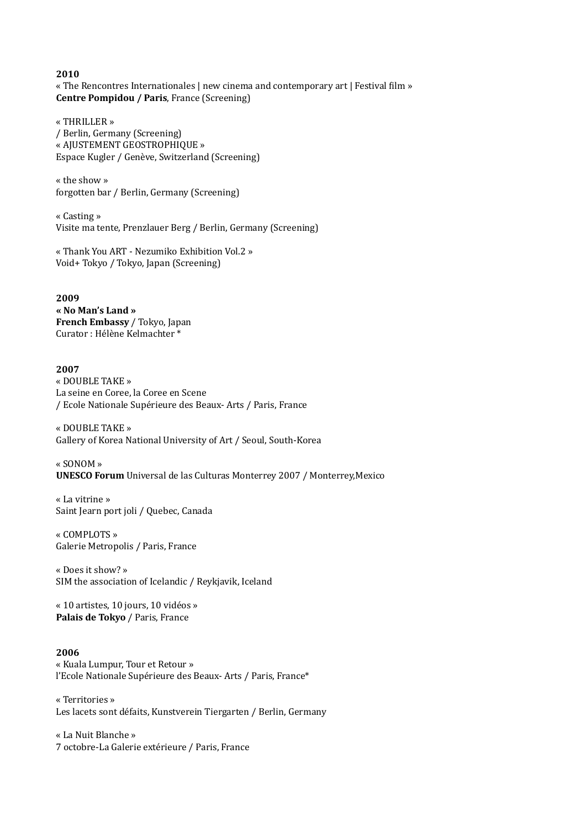**2010** « The Rencontres Internationales | new cinema and contemporary art | Festival film » **Centre Pompidou / Paris, France (Screening)** 

« THRILLER » / Berlin, Germany (Screening) « AJUSTEMENT GEOSTROPHIQUE » Espace Kugler / Genève, Switzerland (Screening)

 $\alpha$  the show  $\omega$ forgotten bar / Berlin, Germany (Screening)

« Casting » Visite ma tente, Prenzlauer Berg / Berlin, Germany (Screening)

« Thank You ART - Nezumiko Exhibition Vol.2 » Void+ Tokyo / Tokyo, Japan (Screening)

**2009 « No Man's Land » French Embassy** / Tokyo, Japan Curator : Hélène Kelmachter \*

### **2007**

« DOUBLE TAKE » La seine en Coree, la Coree en Scene / Ecole Nationale Supérieure des Beaux- Arts / Paris, France

« DOUBLE TAKE » Gallery of Korea National University of Art / Seoul, South-Korea

« SONOM » **UNESCO Forum** Universal de las Culturas Monterrey 2007 / Monterrey,Mexico

« La vitrine » Saint Jearn port joli / Quebec, Canada

« COMPLOTS » Galerie Metropolis / Paris, France

« Does it show? » SIM the association of Icelandic / Reykjavik, Iceland

« 10 artistes, 10 jours, 10 vidéos » **Palais de Tokyo** / Paris, France

#### **2006**

« Kuala Lumpur, Tour et Retour » l'Ecole Nationale Supérieure des Beaux-Arts / Paris, France\*

« Territories » Les lacets sont défaits, Kunstverein Tiergarten / Berlin, Germany

« La Nuit Blanche » 7 octobre-La Galerie extérieure / Paris, France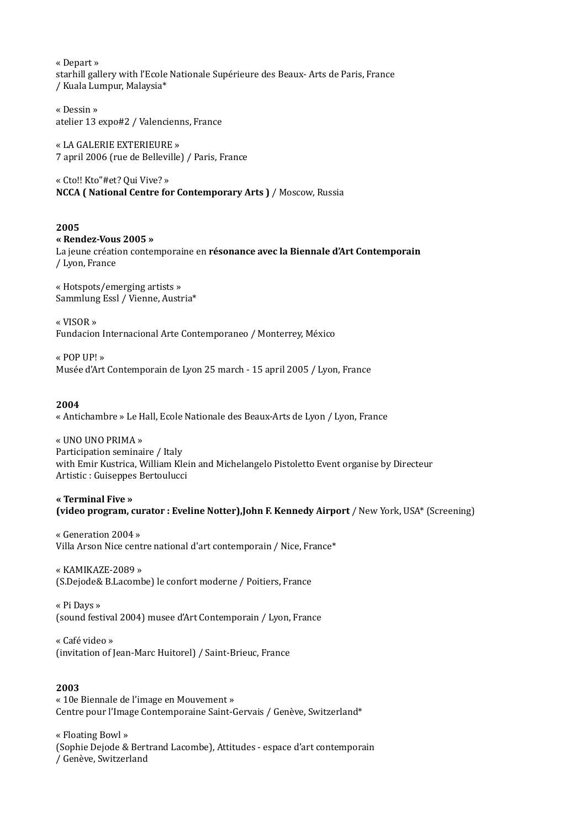« Depart » starhill gallery with l'Ecole Nationale Supérieure des Beaux- Arts de Paris, France / Kuala Lumpur, Malaysia\*

« Dessin » atelier 13 expo#2 / Valencienns, France

« LA GALERIE EXTERIEURE » 7 april 2006 (rue de Belleville) / Paris, France 

« Cto!! Kto"#et? Qui Vive? » **NCCA** ( National Centre for Contemporary Arts ) / Moscow, Russia

#### **2005**

**« Rendez-Vous 2005 »**  La jeune création contemporaine en **résonance avec la Biennale d'Art Contemporain** / Lyon, France 

« Hotspots/emerging artists » Sammlung Essl / Vienne, Austria\*

« VISOR » Fundacion Internacional Arte Contemporaneo / Monterrey, México

« POP UP! » Musée d'Art Contemporain de Lyon 25 march - 15 april 2005 / Lyon, France

### **2004**

« Antichambre » Le Hall, Ecole Nationale des Beaux-Arts de Lyon / Lyon, France

« UNO UNO PRIMA » Participation seminaire / Italy with Emir Kustrica, William Klein and Michelangelo Pistoletto Event organise by Directeur Artistic : Guiseppes Bertoulucci

**« Terminal Five » (video program, curator : Eveline Notter), John F. Kennedy Airport** / New York, USA\* (Screening)

« Generation 2004 » Villa Arson Nice centre national d'art contemporain / Nice, France\*

« KAMIKAZE-2089 » (S.Dejode& B.Lacombe) le confort moderne / Poitiers, France 

« Pi Days » (sound festival 2004) musee d'Art Contemporain / Lyon, France

« Café video » (invitation of Jean-Marc Huitorel) / Saint-Brieuc, France

### **2003**

« 10e Biennale de l'image en Mouvement » Centre pour l'Image Contemporaine Saint-Gervais / Genève, Switzerland\*

« Floating Bowl » (Sophie Dejode & Bertrand Lacombe), Attitudes - espace d'art contemporain / Genève, Switzerland